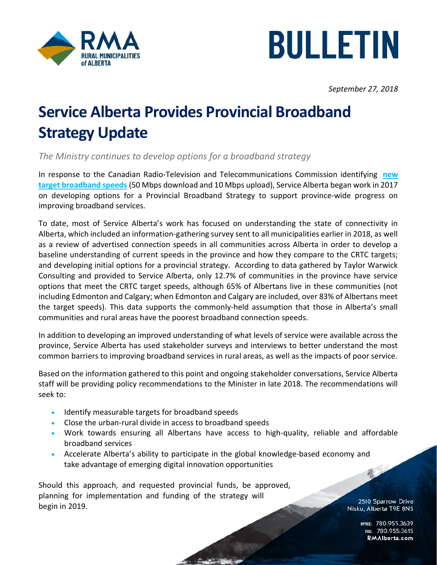



September 27, 2018

## Service Alberta Provides Provincial Broadband Strategy Update

The Ministry continues to develop options for a broadband strategy

In response to the Canadian Radio-Television and Telecommunications Commission identifying new target broadband speeds (50 Mbps download and 10 Mbps upload), Service Alberta began work in 2017 on developing options for a Provincial Broadband Strategy to support province-wide progress on improving broadband services.

To date, most of Service Alberta's work has focused on understanding the state of connectivity in Alberta, which included an information-gathering survey sent to all municipalities earlier in 2018, as well as a review of advertised connection speeds in all communities across Alberta in order to develop a baseline understanding of current speeds in the province and how they compare to the CRTC targets; and developing initial options for a provincial strategy. According to data gathered by Taylor Warwick Consulting and provided to Service Alberta, only 12.7% of communities in the province have service options that meet the CRTC target speeds, although 65% of Albertans live in these communities (not including Edmonton and Calgary; when Edmonton and Calgary are included, over 83% of Albertans meet the target speeds). This data supports the commonly-held assumption that those in Alberta's small communities and rural areas have the poorest broadband connection speeds.

In addition to developing an improved understanding of what levels of service were available across the province, Service Alberta has used stakeholder surveys and interviews to better understand the most common barriers to improving broadband services in rural areas, as well as the impacts of poor service.

Based on the information gathered to this point and ongoing stakeholder conversations, Service Alberta staff will be providing policy recommendations to the Minister in late 2018. The recommendations will seek to:

- **Identify measurable targets for broadband speeds**
- Close the urban-rural divide in access to broadband speeds
- Work towards ensuring all Albertans have access to high-quality, reliable and affordable broadband services
- Accelerate Alberta's ability to participate in the global knowledge-based economy and take advantage of emerging digital innovation opportunities

Should this approach, and requested provincial funds, be approved, planning for implementation and funding of the strategy will begin in 2019.

2510 Sparrow Drive Nisku, Alberta T9E 8N5

EXTREMELT 780.955.<br>FAX: 780.955 RMAIberta.com